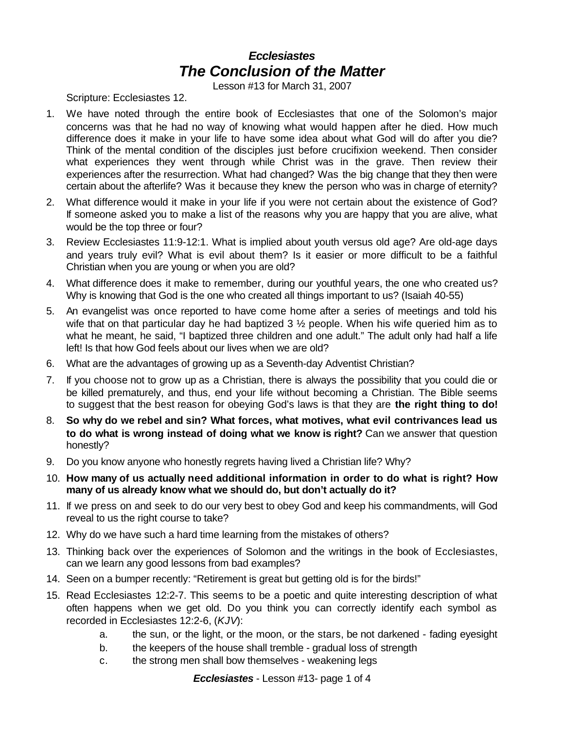## *Ecclesiastes The Conclusion of the Matter*

Lesson #13 for March 31, 2007

Scripture: Ecclesiastes 12.

- 1. We have noted through the entire book of Ecclesiastes that one of the Solomon's major concerns was that he had no way of knowing what would happen after he died. How much difference does it make in your life to have some idea about what God will do after you die? Think of the mental condition of the disciples just before crucifixion weekend. Then consider what experiences they went through while Christ was in the grave. Then review their experiences after the resurrection. What had changed? Was the big change that they then were certain about the afterlife? Was it because they knew the person who was in charge of eternity?
- 2. What difference would it make in your life if you were not certain about the existence of God? If someone asked you to make a list of the reasons why you are happy that you are alive, what would be the top three or four?
- 3. Review Ecclesiastes 11:9-12:1. What is implied about youth versus old age? Are old-age days and years truly evil? What is evil about them? Is it easier or more difficult to be a faithful Christian when you are young or when you are old?
- 4. What difference does it make to remember, during our youthful years, the one who created us? Why is knowing that God is the one who created all things important to us? (Isaiah 40-55)
- 5. An evangelist was once reported to have come home after a series of meetings and told his wife that on that particular day he had baptized 3  $\frac{1}{2}$  people. When his wife queried him as to what he meant, he said, "I baptized three children and one adult." The adult only had half a life left! Is that how God feels about our lives when we are old?
- 6. What are the advantages of growing up as a Seventh-day Adventist Christian?
- 7. If you choose not to grow up as a Christian, there is always the possibility that you could die or be killed prematurely, and thus, end your life without becoming a Christian. The Bible seems to suggest that the best reason for obeying God's laws is that they are **the right thing to do!**
- 8. **So why do we rebel and sin? What forces, what motives, what evil contrivances lead us to do what is wrong instead of doing what we know is right?** Can we answer that question honestly?
- 9. Do you know anyone who honestly regrets having lived a Christian life? Why?
- 10. **How many of us actually need additional information in order to do what is right? How many of us already know what we should do, but don't actually do it?**
- 11. If we press on and seek to do our very best to obey God and keep his commandments, will God reveal to us the right course to take?
- 12. Why do we have such a hard time learning from the mistakes of others?
- 13. Thinking back over the experiences of Solomon and the writings in the book of Ecclesiastes, can we learn any good lessons from bad examples?
- 14. Seen on a bumper recently: "Retirement is great but getting old is for the birds!"
- 15. Read Ecclesiastes 12:2-7. This seems to be a poetic and quite interesting description of what often happens when we get old. Do you think you can correctly identify each symbol as recorded in Ecclesiastes 12:2-6, (*KJV*):
	- a. the sun, or the light, or the moon, or the stars, be not darkened fading eyesight
	- b. the keepers of the house shall tremble gradual loss of strength
	- c. the strong men shall bow themselves weakening legs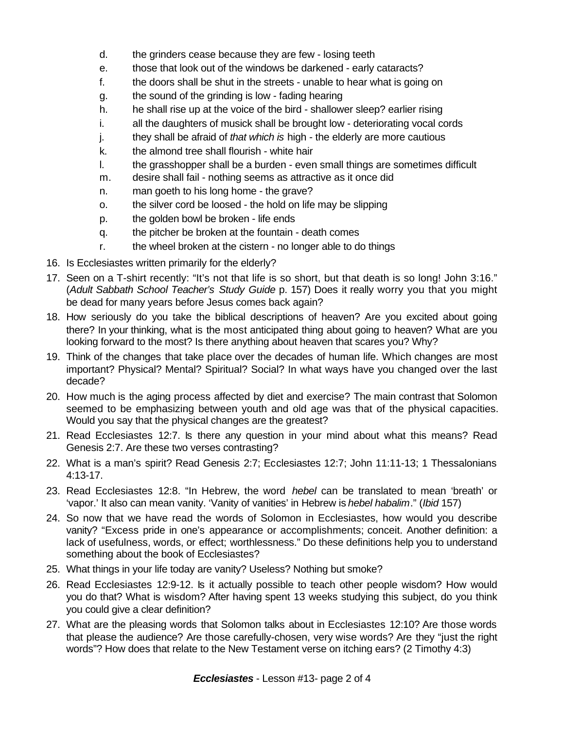- d. the grinders cease because they are few losing teeth
- e. those that look out of the windows be darkened early cataracts?
- f. the doors shall be shut in the streets unable to hear what is going on
- g. the sound of the grinding is low fading hearing
- h. he shall rise up at the voice of the bird shallower sleep? earlier rising
- i. all the daughters of musick shall be brought low deteriorating vocal cords
- j. they shall be afraid of *that which is* high the elderly are more cautious
- k. the almond tree shall flourish white hair
- l. the grasshopper shall be a burden even small things are sometimes difficult
- m. desire shall fail nothing seems as attractive as it once did
- n. man goeth to his long home the grave?
- o. the silver cord be loosed the hold on life may be slipping
- p. the golden bowl be broken life ends
- q. the pitcher be broken at the fountain death comes
- r. the wheel broken at the cistern no longer able to do things
- 16. Is Ecclesiastes written primarily for the elderly?
- 17. Seen on a T-shirt recently: "It's not that life is so short, but that death is so long! John 3:16." (*Adult Sabbath School Teacher's Study Guide* p. 157) Does it really worry you that you might be dead for many years before Jesus comes back again?
- 18. How seriously do you take the biblical descriptions of heaven? Are you excited about going there? In your thinking, what is the most anticipated thing about going to heaven? What are you looking forward to the most? Is there anything about heaven that scares you? Why?
- 19. Think of the changes that take place over the decades of human life. Which changes are most important? Physical? Mental? Spiritual? Social? In what ways have you changed over the last decade?
- 20. How much is the aging process affected by diet and exercise? The main contrast that Solomon seemed to be emphasizing between youth and old age was that of the physical capacities. Would you say that the physical changes are the greatest?
- 21. Read Ecclesiastes 12:7. Is there any question in your mind about what this means? Read Genesis 2:7. Are these two verses contrasting?
- 22. What is a man's spirit? Read Genesis 2:7; Ecclesiastes 12:7; John 11:11-13; 1 Thessalonians 4:13-17.
- 23. Read Ecclesiastes 12:8. "In Hebrew, the word *hebel* can be translated to mean 'breath' or 'vapor.' It also can mean vanity. 'Vanity of vanities' in Hebrew is *hebel habalim*." (*Ibid* 157)
- 24. So now that we have read the words of Solomon in Ecclesiastes, how would you describe vanity? "Excess pride in one's appearance or accomplishments; conceit. Another definition: a lack of usefulness, words, or effect; worthlessness." Do these definitions help you to understand something about the book of Ecclesiastes?
- 25. What things in your life today are vanity? Useless? Nothing but smoke?
- 26. Read Ecclesiastes 12:9-12. Is it actually possible to teach other people wisdom? How would you do that? What is wisdom? After having spent 13 weeks studying this subject, do you think you could give a clear definition?
- 27. What are the pleasing words that Solomon talks about in Ecclesiastes 12:10? Are those words that please the audience? Are those carefully-chosen, very wise words? Are they "just the right words"? How does that relate to the New Testament verse on itching ears? (2 Timothy 4:3)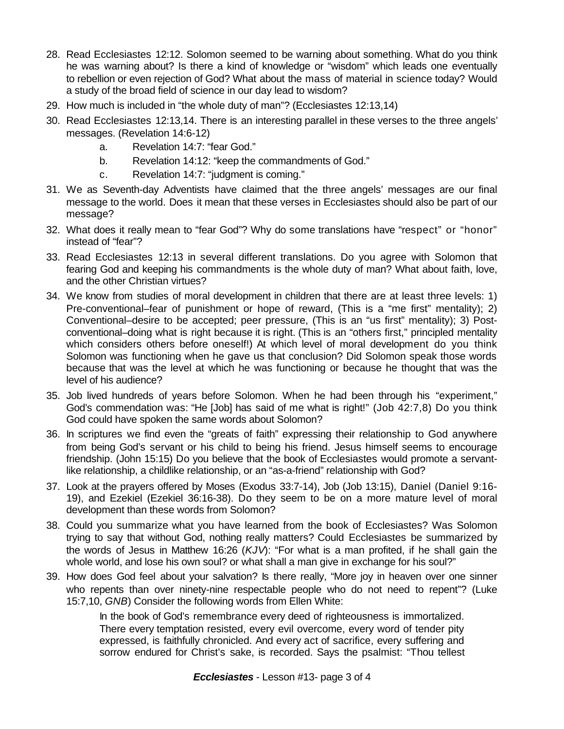- 28. Read Ecclesiastes 12:12. Solomon seemed to be warning about something. What do you think he was warning about? Is there a kind of knowledge or "wisdom" which leads one eventually to rebellion or even rejection of God? What about the mass of material in science today? Would a study of the broad field of science in our day lead to wisdom?
- 29. How much is included in "the whole duty of man"? (Ecclesiastes 12:13,14)
- 30. Read Ecclesiastes 12:13,14. There is an interesting parallel in these verses to the three angels' messages. (Revelation 14:6-12)
	- a. Revelation 14:7: "fear God."
	- b. Revelation 14:12: "keep the commandments of God."
	- c. Revelation 14:7: "judgment is coming."
- 31. We as Seventh-day Adventists have claimed that the three angels' messages are our final message to the world. Does it mean that these verses in Ecclesiastes should also be part of our message?
- 32. What does it really mean to "fear God"? Why do some translations have "respect" or "honor" instead of "fear"?
- 33. Read Ecclesiastes 12:13 in several different translations. Do you agree with Solomon that fearing God and keeping his commandments is the whole duty of man? What about faith, love, and the other Christian virtues?
- 34. We know from studies of moral development in children that there are at least three levels: 1) Pre-conventional–fear of punishment or hope of reward, (This is a "me first" mentality); 2) Conventional–desire to be accepted; peer pressure, (This is an "us first" mentality); 3) Postconventional–doing what is right because it is right. (This is an "others first," principled mentality which considers others before oneself!) At which level of moral development do you think Solomon was functioning when he gave us that conclusion? Did Solomon speak those words because that was the level at which he was functioning or because he thought that was the level of his audience?
- 35. Job lived hundreds of years before Solomon. When he had been through his "experiment," God's commendation was: "He [Job] has said of me what is right!" (Job 42:7,8) Do you think God could have spoken the same words about Solomon?
- 36. In scriptures we find even the "greats of faith" expressing their relationship to God anywhere from being God's servant or his child to being his friend. Jesus himself seems to encourage friendship. (John 15:15) Do you believe that the book of Ecclesiastes would promote a servantlike relationship, a childlike relationship, or an "as-a-friend" relationship with God?
- 37. Look at the prayers offered by Moses (Exodus 33:7-14), Job (Job 13:15), Daniel (Daniel 9:16- 19), and Ezekiel (Ezekiel 36:16-38). Do they seem to be on a more mature level of moral development than these words from Solomon?
- 38. Could you summarize what you have learned from the book of Ecclesiastes? Was Solomon trying to say that without God, nothing really matters? Could Ecclesiastes be summarized by the words of Jesus in Matthew 16:26 (*KJV*): "For what is a man profited, if he shall gain the whole world, and lose his own soul? or what shall a man give in exchange for his soul?"
- 39. How does God feel about your salvation? Is there really, "More joy in heaven over one sinner who repents than over ninety-nine respectable people who do not need to repent"? (Luke 15:7,10, *GNB*) Consider the following words from Ellen White:

In the book of God's remembrance every deed of righteousness is immortalized. There every temptation resisted, every evil overcome, every word of tender pity expressed, is faithfully chronicled. And every act of sacrifice, every suffering and sorrow endured for Christ's sake, is recorded. Says the psalmist: "Thou tellest